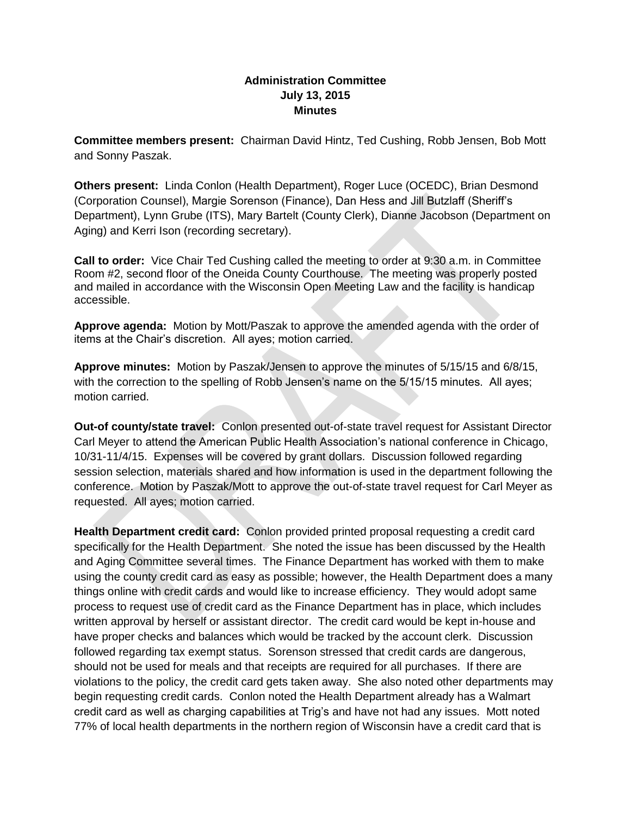## **Administration Committee July 13, 2015 Minutes**

**Committee members present:** Chairman David Hintz, Ted Cushing, Robb Jensen, Bob Mott and Sonny Paszak.

**Others present:** Linda Conlon (Health Department), Roger Luce (OCEDC), Brian Desmond (Corporation Counsel), Margie Sorenson (Finance), Dan Hess and Jill Butzlaff (Sheriff's Department), Lynn Grube (ITS), Mary Bartelt (County Clerk), Dianne Jacobson (Department on Aging) and Kerri Ison (recording secretary).

**Call to order:** Vice Chair Ted Cushing called the meeting to order at 9:30 a.m. in Committee Room #2, second floor of the Oneida County Courthouse. The meeting was properly posted and mailed in accordance with the Wisconsin Open Meeting Law and the facility is handicap accessible.

**Approve agenda:** Motion by Mott/Paszak to approve the amended agenda with the order of items at the Chair's discretion. All ayes; motion carried.

**Approve minutes:** Motion by Paszak/Jensen to approve the minutes of 5/15/15 and 6/8/15, with the correction to the spelling of Robb Jensen's name on the 5/15/15 minutes. All ayes; motion carried.

**Out-of county/state travel:** Conlon presented out-of-state travel request for Assistant Director Carl Meyer to attend the American Public Health Association's national conference in Chicago, 10/31-11/4/15. Expenses will be covered by grant dollars. Discussion followed regarding session selection, materials shared and how information is used in the department following the conference. Motion by Paszak/Mott to approve the out-of-state travel request for Carl Meyer as requested. All ayes; motion carried.

**Health Department credit card:** Conlon provided printed proposal requesting a credit card specifically for the Health Department. She noted the issue has been discussed by the Health and Aging Committee several times. The Finance Department has worked with them to make using the county credit card as easy as possible; however, the Health Department does a many things online with credit cards and would like to increase efficiency. They would adopt same process to request use of credit card as the Finance Department has in place, which includes written approval by herself or assistant director. The credit card would be kept in-house and have proper checks and balances which would be tracked by the account clerk. Discussion followed regarding tax exempt status. Sorenson stressed that credit cards are dangerous, should not be used for meals and that receipts are required for all purchases. If there are violations to the policy, the credit card gets taken away. She also noted other departments may begin requesting credit cards. Conlon noted the Health Department already has a Walmart credit card as well as charging capabilities at Trig's and have not had any issues. Mott noted 77% of local health departments in the northern region of Wisconsin have a credit card that is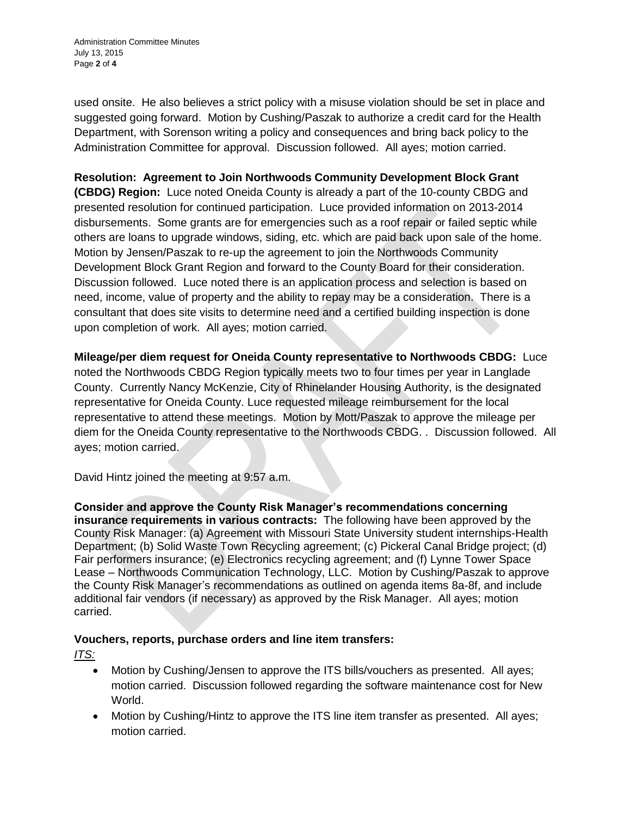Administration Committee Minutes July 13, 2015 Page **2** of **4**

used onsite. He also believes a strict policy with a misuse violation should be set in place and suggested going forward. Motion by Cushing/Paszak to authorize a credit card for the Health Department, with Sorenson writing a policy and consequences and bring back policy to the Administration Committee for approval. Discussion followed. All ayes; motion carried.

**Resolution: Agreement to Join Northwoods Community Development Block Grant (CBDG) Region:** Luce noted Oneida County is already a part of the 10-county CBDG and presented resolution for continued participation. Luce provided information on 2013-2014 disbursements. Some grants are for emergencies such as a roof repair or failed septic while others are loans to upgrade windows, siding, etc. which are paid back upon sale of the home. Motion by Jensen/Paszak to re-up the agreement to join the Northwoods Community Development Block Grant Region and forward to the County Board for their consideration. Discussion followed. Luce noted there is an application process and selection is based on need, income, value of property and the ability to repay may be a consideration. There is a consultant that does site visits to determine need and a certified building inspection is done upon completion of work. All ayes; motion carried.

**Mileage/per diem request for Oneida County representative to Northwoods CBDG:** Luce noted the Northwoods CBDG Region typically meets two to four times per year in Langlade County. Currently Nancy McKenzie, City of Rhinelander Housing Authority, is the designated representative for Oneida County. Luce requested mileage reimbursement for the local representative to attend these meetings. Motion by Mott/Paszak to approve the mileage per diem for the Oneida County representative to the Northwoods CBDG. . Discussion followed. All ayes; motion carried.

David Hintz joined the meeting at 9:57 a.m.

**Consider and approve the County Risk Manager's recommendations concerning insurance requirements in various contracts:** The following have been approved by the County Risk Manager: (a) Agreement with Missouri State University student internships-Health Department; (b) Solid Waste Town Recycling agreement; (c) Pickeral Canal Bridge project; (d) Fair performers insurance; (e) Electronics recycling agreement; and (f) Lynne Tower Space Lease – Northwoods Communication Technology, LLC. Motion by Cushing/Paszak to approve the County Risk Manager's recommendations as outlined on agenda items 8a-8f, and include additional fair vendors (if necessary) as approved by the Risk Manager. All ayes; motion carried.

# **Vouchers, reports, purchase orders and line item transfers:**

*ITS:*

- Motion by Cushing/Jensen to approve the ITS bills/vouchers as presented. All ayes; motion carried. Discussion followed regarding the software maintenance cost for New World.
- Motion by Cushing/Hintz to approve the ITS line item transfer as presented. All ayes; motion carried.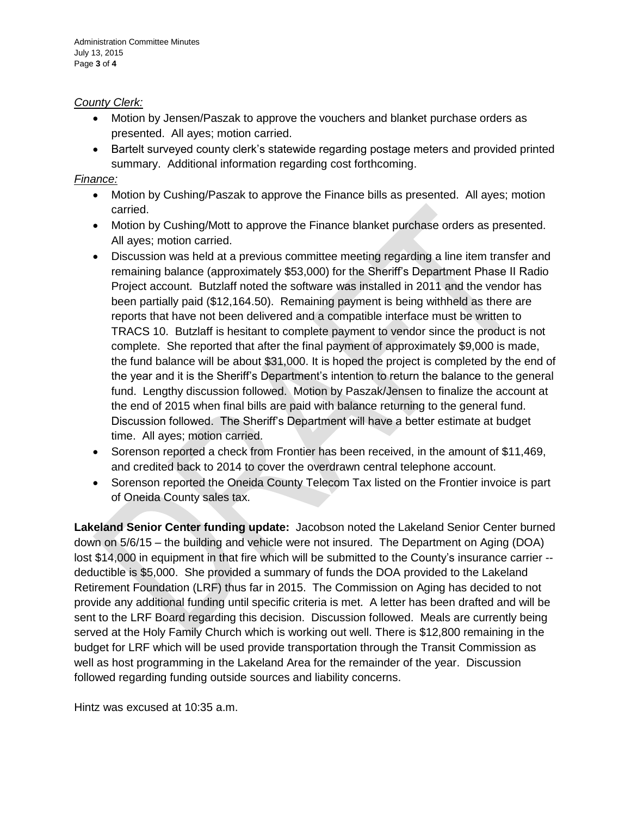#### *County Clerk:*

- Motion by Jensen/Paszak to approve the vouchers and blanket purchase orders as presented. All ayes; motion carried.
- Bartelt surveyed county clerk's statewide regarding postage meters and provided printed summary. Additional information regarding cost forthcoming.

### *Finance:*

- Motion by Cushing/Paszak to approve the Finance bills as presented. All ayes; motion carried.
- Motion by Cushing/Mott to approve the Finance blanket purchase orders as presented. All ayes; motion carried.
- Discussion was held at a previous committee meeting regarding a line item transfer and remaining balance (approximately \$53,000) for the Sheriff's Department Phase II Radio Project account. Butzlaff noted the software was installed in 2011 and the vendor has been partially paid (\$12,164.50). Remaining payment is being withheld as there are reports that have not been delivered and a compatible interface must be written to TRACS 10. Butzlaff is hesitant to complete payment to vendor since the product is not complete. She reported that after the final payment of approximately \$9,000 is made, the fund balance will be about \$31,000. It is hoped the project is completed by the end of the year and it is the Sheriff's Department's intention to return the balance to the general fund. Lengthy discussion followed. Motion by Paszak/Jensen to finalize the account at the end of 2015 when final bills are paid with balance returning to the general fund. Discussion followed. The Sheriff's Department will have a better estimate at budget time. All ayes; motion carried.
- Sorenson reported a check from Frontier has been received, in the amount of \$11,469, and credited back to 2014 to cover the overdrawn central telephone account.
- Sorenson reported the Oneida County Telecom Tax listed on the Frontier invoice is part of Oneida County sales tax.

**Lakeland Senior Center funding update:** Jacobson noted the Lakeland Senior Center burned down on 5/6/15 – the building and vehicle were not insured. The Department on Aging (DOA) lost \$14,000 in equipment in that fire which will be submitted to the County's insurance carrier - deductible is \$5,000. She provided a summary of funds the DOA provided to the Lakeland Retirement Foundation (LRF) thus far in 2015. The Commission on Aging has decided to not provide any additional funding until specific criteria is met. A letter has been drafted and will be sent to the LRF Board regarding this decision. Discussion followed. Meals are currently being served at the Holy Family Church which is working out well. There is \$12,800 remaining in the budget for LRF which will be used provide transportation through the Transit Commission as well as host programming in the Lakeland Area for the remainder of the year. Discussion followed regarding funding outside sources and liability concerns.

Hintz was excused at 10:35 a.m.